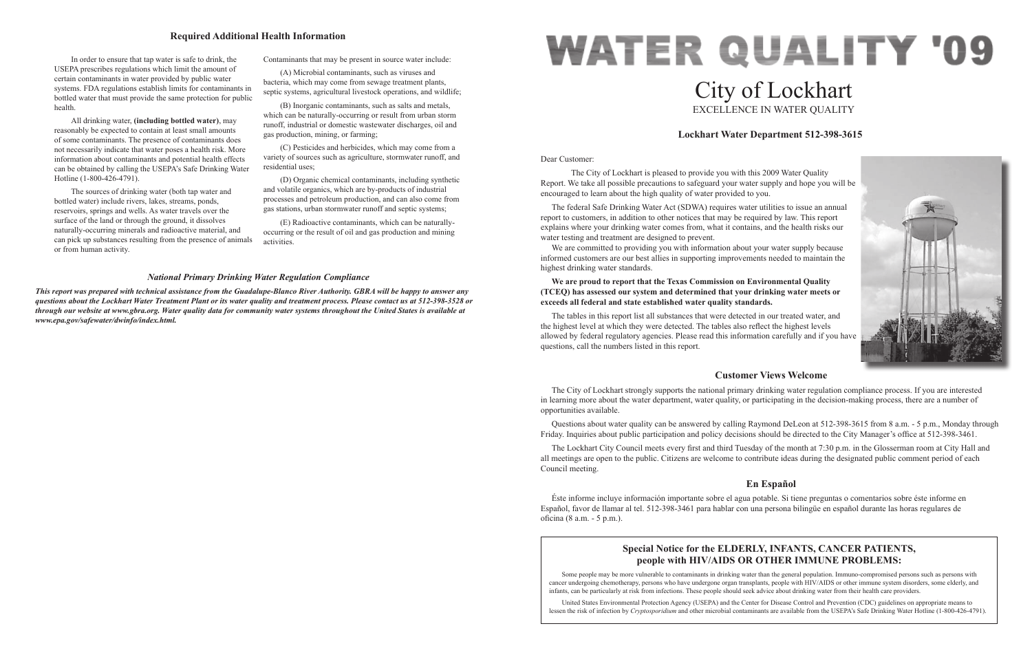#### Dear Customer:

 The City of Lockhart is pleased to provide you with this 2009 Water Quality Report. We take all possible precautions to safeguard your water supply and hope you will be encouraged to learn about the high quality of water provided to you.

We are committed to providing you with information about your water supply because informed customers are our best allies in supporting improvements needed to maintain the highest drinking water standards.

The federal Safe Drinking Water Act (SDWA) requires water utilities to issue an annual report to customers, in addition to other notices that may be required by law. This report explains where your drinking water comes from, what it contains, and the health risks our water testing and treatment are designed to prevent.

# **WATER QUALITY '09** City of Lockhart EXCELLENCE IN WATER QUALITY

# **We are proud to report that the Texas Commission on Environmental Quality (TCEQ) has assessed our system and determined that your drinking water meets or exceeds all federal and state established water quality standards.**

The tables in this report list all substances that were detected in our treated water, and the highest level at which they were detected. The tables also reflect the highest levels allowed by federal regulatory agencies. Please read this information carefully and if you have questions, call the numbers listed in this report.

# **Lockhart Water Department 512-398-3615**



# **Customer Views Welcome**

The City of Lockhart strongly supports the national primary drinking water regulation compliance process. If you are interested in learning more about the water department, water quality, or participating in the decision-making process, there are a number of opportunities available.

Questions about water quality can be answered by calling Raymond DeLeon at 512-398-3615 from 8 a.m. - 5 p.m., Monday through Friday. Inquiries about public participation and policy decisions should be directed to the City Manager's office at 512-398-3461.

The Lockhart City Council meets every first and third Tuesday of the month at 7:30 p.m. in the Glosserman room at City Hall and all meetings are open to the public. Citizens are welcome to contribute ideas during the designated public comment period of each Council meeting.

# **En Español**

Éste informe incluye información importante sobre el agua potable. Si tiene preguntas o comentarios sobre éste informe en Español, favor de llamar al tel. 512-398-3461 para hablar con una persona bilingüe en español durante las horas regulares de oficina (8 a.m. - 5 p.m.).

In order to ensure that tap water is safe to drink, the USEPA prescribes regulations which limit the amount of certain contaminants in water provided by public water systems. FDA regulations establish limits for contaminants in bottled water that must provide the same protection for public health.

All drinking water, **(including bottled water)**, may reasonably be expected to contain at least small amounts of some contaminants. The presence of contaminants does not necessarily indicate that water poses a health risk. More information about contaminants and potential health effects can be obtained by calling the USEPA's Safe Drinking Water Hotline (1-800-426-4791).

The sources of drinking water (both tap water and bottled water) include rivers, lakes, streams, ponds, reservoirs, springs and wells. As water travels over the surface of the land or through the ground, it dissolves naturally-occurring minerals and radioactive material, and can pick up substances resulting from the presence of animals or from human activity.

Contaminants that may be present in source water include:

(A) Microbial contaminants, such as viruses and bacteria, which may come from sewage treatment plants, septic systems, agricultural livestock operations, and wildlife;

(B) Inorganic contaminants, such as salts and metals, which can be naturally-occurring or result from urban storm runoff, industrial or domestic wastewater discharges, oil and gas production, mining, or farming;

(C) Pesticides and herbicides, which may come from a variety of sources such as agriculture, stormwater runoff, and residential uses;

(D) Organic chemical contaminants, including synthetic and volatile organics, which are by-products of industrial processes and petroleum production, and can also come from gas stations, urban stormwater runoff and septic systems;

(E) Radioactive contaminants, which can be naturallyoccurring or the result of oil and gas production and mining activities.

# **Required Additional Health Information**

## *National Primary Drinking Water Regulation Compliance*

*This report was prepared with technical assistance from the Guadalupe-Blanco River Authority. GBRA will be happy to answer any questions about the Lockhart Water Treatment Plant or its water quality and treatment process. Please contact us at 512-398-3528 or through our website at www.gbra.org. Water quality data for community water systems throughout the United States is available at www.epa.gov/safewater/dwinfo/index.html.*

# **Special Notice for the ELDERLY, INFANTS, CANCER PATIENTS, people with HIV/AIDS OR OTHER IMMUNE PROBLEMS:**

Some people may be more vulnerable to contaminants in drinking water than the general population. Immuno-compromised persons such as persons with cancer undergoing chemotherapy, persons who have undergone organ transplants, people with HIV/AIDS or other immune system disorders, some elderly, and infants, can be particularly at risk from infections. These people should seek advice about drinking water from their health care providers.

United States Environmental Protection Agency (USEPA) and the Center for Disease Control and Prevention (CDC) guidelines on appropriate means to lessen the risk of infection by *Cryptosporidium* and other microbial contaminants are available from the USEPA's Safe Drinking Water Hotline (1-800-426-4791).